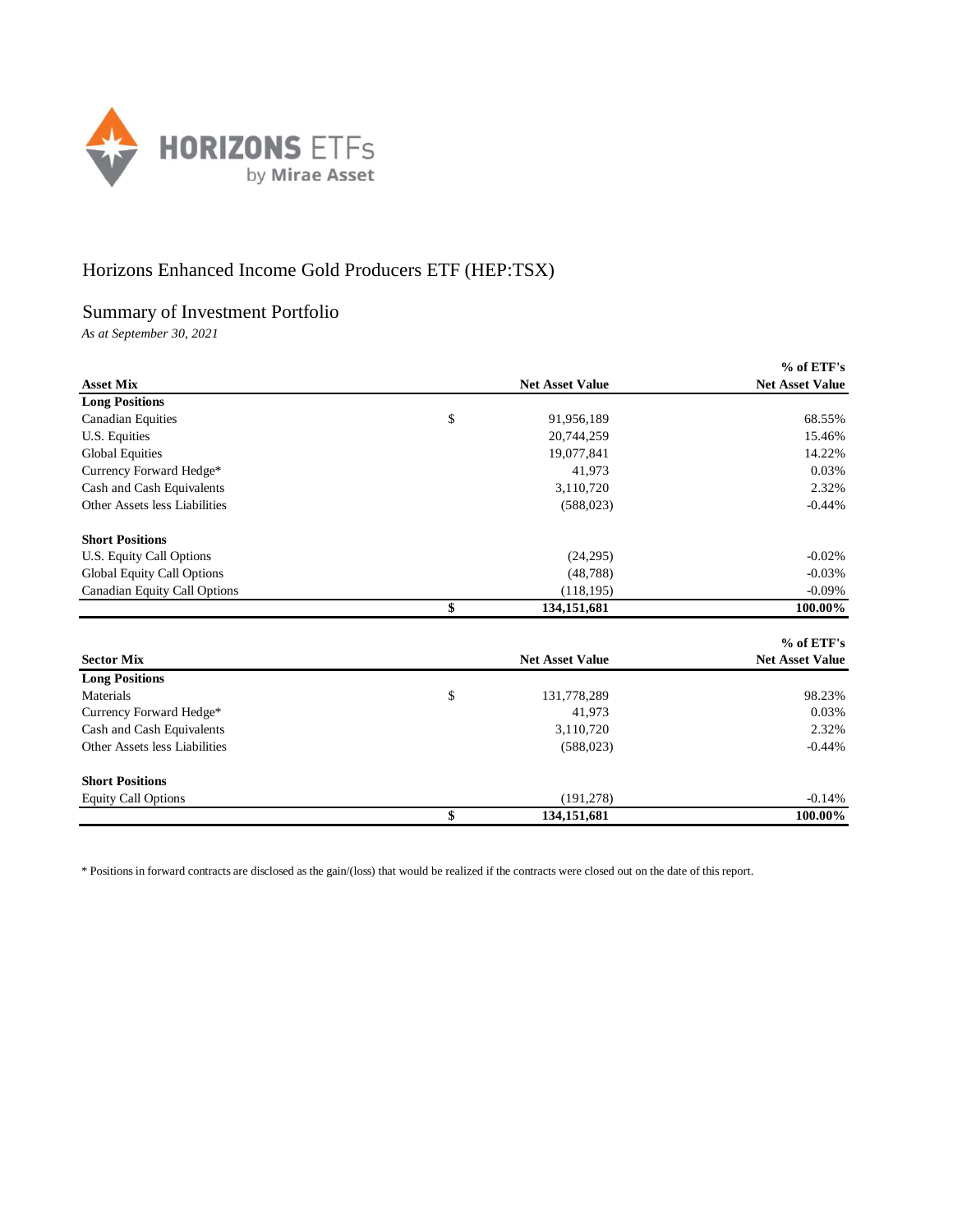

## Horizons Enhanced Income Gold Producers ETF (HEP:TSX)

## Summary of Investment Portfolio

*As at September 30, 2021*

|                               |                        | % of ETF's             |
|-------------------------------|------------------------|------------------------|
| <b>Asset Mix</b>              | <b>Net Asset Value</b> | <b>Net Asset Value</b> |
| <b>Long Positions</b>         |                        |                        |
| <b>Canadian Equities</b>      | \$<br>91,956,189       | 68.55%                 |
| U.S. Equities                 | 20,744,259             | 15.46%                 |
| <b>Global Equities</b>        | 19,077,841             | 14.22%                 |
| Currency Forward Hedge*       | 41,973                 | 0.03%                  |
| Cash and Cash Equivalents     | 3,110,720              | 2.32%                  |
| Other Assets less Liabilities | (588, 023)             | $-0.44%$               |
| <b>Short Positions</b>        |                        |                        |
| U.S. Equity Call Options      | (24, 295)              | $-0.02%$               |
| Global Equity Call Options    | (48, 788)              | $-0.03%$               |
| Canadian Equity Call Options  | (118, 195)             | $-0.09%$               |
|                               | \$<br>134,151,681      | 100.00%                |
|                               |                        | % of ETF's             |
| <b>Sector Mix</b>             | <b>Net Asset Value</b> | <b>Net Asset Value</b> |
| <b>Long Positions</b>         |                        |                        |
| Materials                     | \$<br>131,778,289      | 98.23%                 |
| Currency Forward Hedge*       | 41,973                 | 0.03%                  |
| Cash and Cash Equivalents     | 3,110,720              | 2.32%                  |
| Other Assets less Liabilities | (588, 023)             | $-0.44%$               |
| <b>Short Positions</b>        |                        |                        |
| <b>Equity Call Options</b>    | (191, 278)             | $-0.14%$               |
|                               | \$<br>134,151,681      | 100.00%                |

\* Positions in forward contracts are disclosed as the gain/(loss) that would be realized if the contracts were closed out on the date of this report.